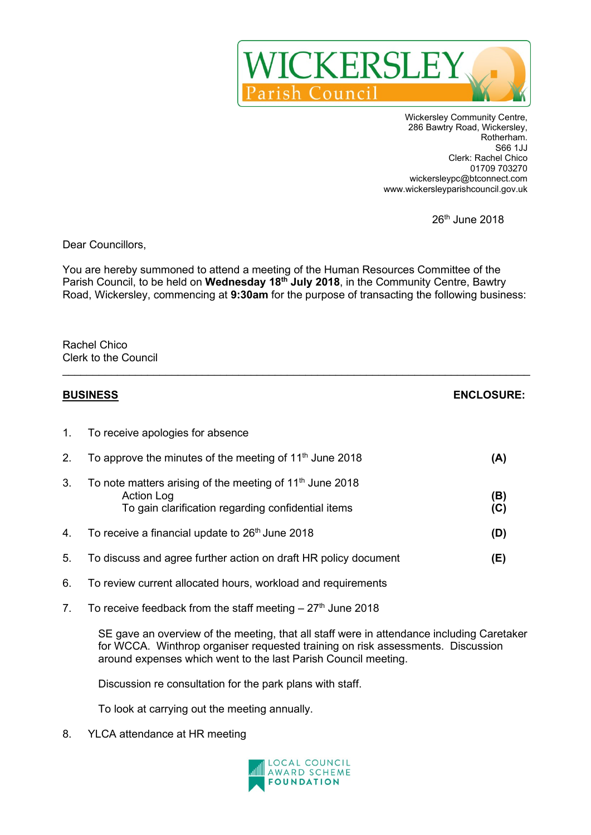

Wickersley Community Centre, 286 Bawtry Road, Wickersley, Rotherham. S66 1JJ Clerk: Rachel Chico 01709 703270 wickersleypc@btconnect.com www.wickersleyparishcouncil.gov.uk

26th June 2018

Dear Councillors,

You are hereby summoned to attend a meeting of the Human Resources Committee of the Parish Council, to be held on **Wednesday 18 th July 2018**, in the Community Centre, Bawtry Road, Wickersley, commencing at **9:30am** for the purpose of transacting the following business:

 $\_$ 

Rachel Chico Clerk to the Council

| <b>BUSINESS</b> |                                                                                                                                          | <b>ENCLOSURE:</b> |
|-----------------|------------------------------------------------------------------------------------------------------------------------------------------|-------------------|
| $1_{\cdot}$     | To receive apologies for absence                                                                                                         |                   |
| 2.              | To approve the minutes of the meeting of $11th$ June 2018                                                                                | (A)               |
| 3.              | To note matters arising of the meeting of 11 <sup>th</sup> June 2018<br>Action Log<br>To gain clarification regarding confidential items | (B)<br>(C)        |
| 4.              | To receive a financial update to 26 <sup>th</sup> June 2018                                                                              | (D)               |
| 5.              | To discuss and agree further action on draft HR policy document                                                                          | (E)               |
| 6.              | To review current allocated hours, workload and requirements                                                                             |                   |
| 7.              | To receive feedback from the staff meeting $-27th$ June 2018                                                                             |                   |

SE gave an overview of the meeting, that all staff were in attendance including Caretaker for WCCA. Winthrop organiser requested training on risk assessments. Discussion around expenses which went to the last Parish Council meeting.

Discussion re consultation for the park plans with staff.

To look at carrying out the meeting annually.

8. YLCA attendance at HR meeting